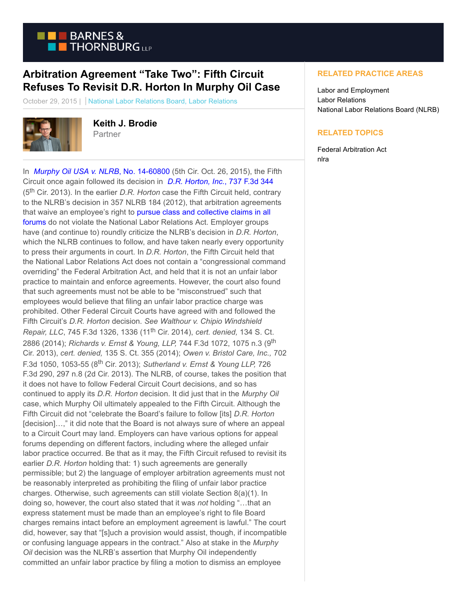

## **Arbitration Agreement "Take Two": Fifth Circuit Refuses To Revisit D.R. Horton In Murphy Oil Case**

October 29, 2015 | National Labor Relations Board, Labor Relations



**Keith J. Brodie** Partner

In *[Murphy Oil USA v. NLRB](https://www.btlaborrelations.com/wp-content/uploads/2015/10/CASE-Murphy-Oil-v-NLRB-14-60800-2015.pdf)*, No. 14-60800 (5th Cir. Oct. 26, 2015), the Fifth Circuit once again followed its decision in *[D.R. Horton, Inc.](https://www.btlaborrelations.com/wp-content/uploads/2015/10/DR-Horton-Decision.pdf)*, 737 F.3d 344 (5th Cir. 2013). In the earlier *D.R. Horton* case the Fifth Circuit held, contrary to the NLRB's decision in 357 NLRB 184 (2012), that arbitration agreements that waive an employee's right to [pursue class and collective claims in all](https://www.btlaborrelations.com/fifth-circuit-issues-landmark-dr-horton-decision-12-03-2013/) forums do not violate the National Labor Relations Act. Employer groups have (and continue to) roundly criticize the NLRB's decision in *D.R. Horton*, which the NLRB continues to follow, and have taken nearly every opportunity to press their arguments in court. In *D.R. Horton*, the Fifth Circuit held that the National Labor Relations Act does not contain a "congressional command overriding" the Federal Arbitration Act, and held that it is not an unfair labor practice to maintain and enforce agreements. However, the court also found that such agreements must not be able to be "misconstrued" such that employees would believe that filing an unfair labor practice charge was prohibited. Other Federal Circuit Courts have agreed with and followed the Fifth Circuit's *D.R. Horton* decision. *See Walthour v. Chipio Windshield Repair, LLC*, 745 F.3d 1326, 1336 (11th Cir. 2014), *cert. denied,* 134 S. Ct. 2886 (2014); *Richards v. Ernst & Young, LLP,* 744 F.3d 1072, 1075 n.3 (9th Cir. 2013), *cert. denied,* 135 S. Ct. 355 (2014); *Owen v. Bristol Care, Inc.,* 702 F.3d 1050, 1053-55 (8th Cir. 2013); *Sutherland v. Ernst & Young LLP,* 726 F.3d 290, 297 n.8 (2d Cir. 2013). The NLRB, of course, takes the position that it does not have to follow Federal Circuit Court decisions, and so has continued to apply its *D.R. Horton* decision. It did just that in the *Murphy Oil* case, which Murphy Oil ultimately appealed to the Fifth Circuit. Although the Fifth Circuit did not "celebrate the Board's failure to follow [its] *D.R. Horton* [decision]...," it did note that the Board is not always sure of where an appeal to a Circuit Court may land. Employers can have various options for appeal forums depending on different factors, including where the alleged unfair labor practice occurred. Be that as it may, the Fifth Circuit refused to revisit its earlier *D.R. Horton* holding that: 1) such agreements are generally permissible; but 2) the language of employer arbitration agreements must not be reasonably interpreted as prohibiting the filing of unfair labor practice charges. Otherwise, such agreements can still violate Section 8(a)(1). In doing so, however, the court also stated that it was *not* holding "…that an express statement must be made than an employee's right to file Board charges remains intact before an employment agreement is lawful." The court did, however, say that "[s]uch a provision would assist, though, if incompatible or confusing language appears in the contract." Also at stake in the *Murphy Oil* decision was the NLRB's assertion that Murphy Oil independently committed an unfair labor practice by filing a motion to dismiss an employee

## **RELATED PRACTICE AREAS**

Labor and Employment Labor Relations National Labor Relations Board (NLRB)

## **RELATED TOPICS**

Federal Arbitration Act nlra